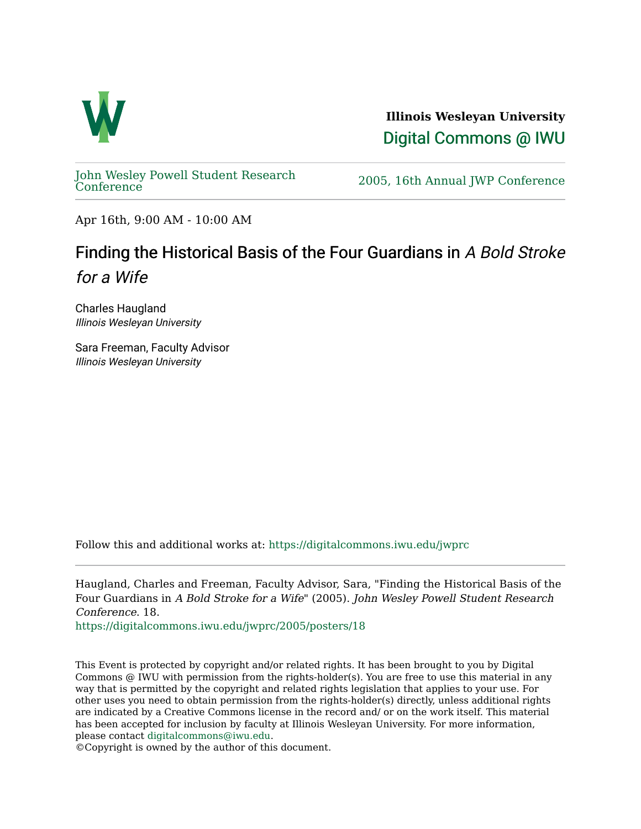

**Illinois Wesleyan University**  [Digital Commons @ IWU](https://digitalcommons.iwu.edu/) 

[John Wesley Powell Student Research](https://digitalcommons.iwu.edu/jwprc) 

2005, 16th Annual JWP [Conference](https://digitalcommons.iwu.edu/jwprc)

Apr 16th, 9:00 AM - 10:00 AM

## Finding the Historical Basis of the Four Guardians in A Bold Stroke for a Wife

Charles Haugland Illinois Wesleyan University

Sara Freeman, Faculty Advisor Illinois Wesleyan University

Follow this and additional works at: [https://digitalcommons.iwu.edu/jwprc](https://digitalcommons.iwu.edu/jwprc?utm_source=digitalcommons.iwu.edu%2Fjwprc%2F2005%2Fposters%2F18&utm_medium=PDF&utm_campaign=PDFCoverPages) 

Haugland, Charles and Freeman, Faculty Advisor, Sara, "Finding the Historical Basis of the Four Guardians in A Bold Stroke for a Wife" (2005). John Wesley Powell Student Research Conference. 18.

[https://digitalcommons.iwu.edu/jwprc/2005/posters/18](https://digitalcommons.iwu.edu/jwprc/2005/posters/18?utm_source=digitalcommons.iwu.edu%2Fjwprc%2F2005%2Fposters%2F18&utm_medium=PDF&utm_campaign=PDFCoverPages)

This Event is protected by copyright and/or related rights. It has been brought to you by Digital Commons @ IWU with permission from the rights-holder(s). You are free to use this material in any way that is permitted by the copyright and related rights legislation that applies to your use. For other uses you need to obtain permission from the rights-holder(s) directly, unless additional rights are indicated by a Creative Commons license in the record and/ or on the work itself. This material has been accepted for inclusion by faculty at Illinois Wesleyan University. For more information, please contact [digitalcommons@iwu.edu.](mailto:digitalcommons@iwu.edu)

©Copyright is owned by the author of this document.